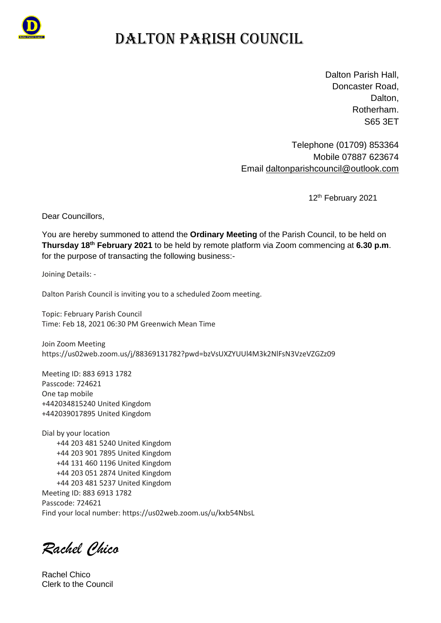

## DALTON PARISH COUNCIL

Dalton Parish Hall, Doncaster Road, Dalton. Rotherham. S65 3ET

Telephone (01709) 853364 Mobile 07887 623674 Email [daltonparishcouncil@outlook.com](mailto:daltonparishcouncil@outlook.com)

12 th February 2021

Dear Councillors,

You are hereby summoned to attend the **Ordinary Meeting** of the Parish Council, to be held on **Thursday 18th February 2021** to be held by remote platform via Zoom commencing at **6.30 p.m**. for the purpose of transacting the following business:-

Joining Details: -

Dalton Parish Council is inviting you to a scheduled Zoom meeting.

Topic: February Parish Council Time: Feb 18, 2021 06:30 PM Greenwich Mean Time

Join Zoom Meeting https://us02web.zoom.us/j/88369131782?pwd=bzVsUXZYUUl4M3k2NlFsN3VzeVZGZz09

Meeting ID: 883 6913 1782 Passcode: 724621 One tap mobile +442034815240 United Kingdom +442039017895 United Kingdom

Dial by your location +44 203 481 5240 United Kingdom +44 203 901 7895 United Kingdom +44 131 460 1196 United Kingdom +44 203 051 2874 United Kingdom +44 203 481 5237 United Kingdom Meeting ID: 883 6913 1782 Passcode: 724621 Find your local number: https://us02web.zoom.us/u/kxb54NbsL

*Rachel Chico*

Rachel Chico Clerk to the Council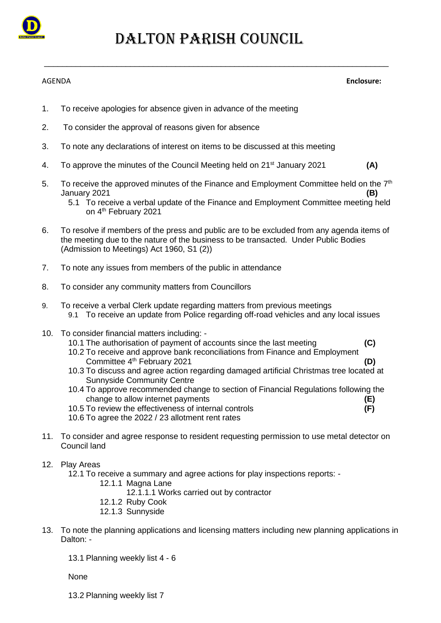

\_\_\_\_\_\_\_\_\_\_\_\_\_\_\_\_\_\_\_\_\_\_\_\_\_\_\_\_\_\_\_\_\_\_\_\_\_\_\_\_\_\_\_\_\_\_\_\_\_\_\_\_\_\_\_\_\_\_\_\_\_\_\_\_\_\_\_\_\_\_\_\_\_\_\_\_

### AGENDA **Enclosure:**

- 1. To receive apologies for absence given in advance of the meeting
- 2. To consider the approval of reasons given for absence
- 3. To note any declarations of interest on items to be discussed at this meeting
- 4. To approve the minutes of the Council Meeting held on 21st January 2021 **(A)**
- 5. To receive the approved minutes of the Finance and Employment Committee held on the  $7<sup>th</sup>$ January 2021 **(B)**
	- 5.1 To receive a verbal update of the Finance and Employment Committee meeting held on 4<sup>th</sup> February 2021
- 6. To resolve if members of the press and public are to be excluded from any agenda items of the meeting due to the nature of the business to be transacted. Under Public Bodies (Admission to Meetings) Act 1960, S1 (2))
- 7. To note any issues from members of the public in attendance
- 8. To consider any community matters from Councillors
- 9. To receive a verbal Clerk update regarding matters from previous meetings 9.1 To receive an update from Police regarding off-road vehicles and any local issues
- 10. To consider financial matters including:
	- 10.1 The authorisation of payment of accounts since the last meeting **(C)**
	- 10.2 To receive and approve bank reconciliations from Finance and Employment Committee 4th February 2021 **(D)**
	- 10.3 To discuss and agree action regarding damaged artificial Christmas tree located at Sunnyside Community Centre
	- 10.4 To approve recommended change to section of Financial Regulations following the change to allow internet payments **(E)**
	- 10.5 To review the effectiveness of internal controls **(F)**
	- 10.6 To agree the 2022 / 23 allotment rent rates
- 11. To consider and agree response to resident requesting permission to use metal detector on Council land
- 12. Play Areas
	- 12.1 To receive a summary and agree actions for play inspections reports:
		- 12.1.1 Magna Lane
		- 12.1.1.1 Works carried out by contractor
		- 12.1.2 Ruby Cook
		- 12.1.3 Sunnyside
- 13. To note the planning applications and licensing matters including new planning applications in Dalton: -
	- 13.1 Planning weekly list 4 6

None

13.2 Planning weekly list 7